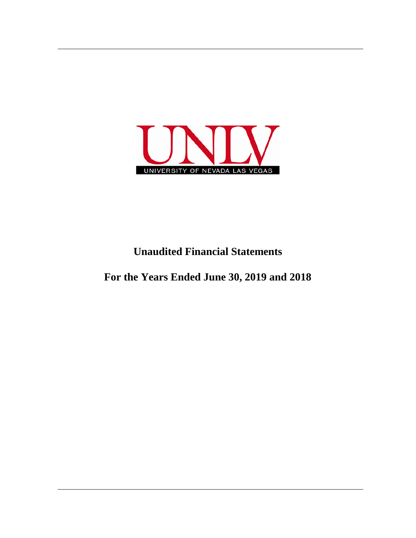

# **Unaudited Financial Statements**

**For the Years Ended June 30, 2019 and 2018**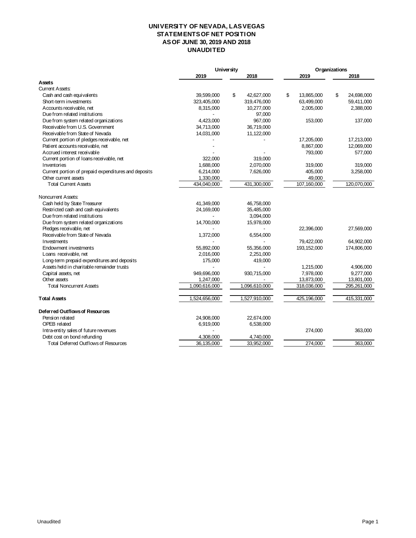## **UNIVERSITY OF NEVADA, LAS VEGAS STATEMENTS OF NET POSITION AS OF JUNE 30, 2019 AND 2018 UNAUDITED**

|                                                      | <b>University</b> |                  | Organizations    |                  |
|------------------------------------------------------|-------------------|------------------|------------------|------------------|
|                                                      | 2019              | 2018             | 2019             | 2018             |
| Assets                                               |                   |                  |                  |                  |
| <b>Current Assets:</b>                               |                   |                  |                  |                  |
| Cash and cash equivalents                            | 39,599,000        | \$<br>42,627,000 | \$<br>13,865,000 | \$<br>24,698,000 |
| Short-term investments                               | 323,405,000       | 319,476,000      | 63,499,000       | 59,411,000       |
| Accounts receivable, net                             | 8,315,000         | 10,277,000       | 2,005,000        | 2,388,000        |
| Due from related institutions                        |                   | 97,000           |                  |                  |
| Due from system related organizations                | 4.423.000         | 967,000          | 153,000          | 137,000          |
| Receivable from U.S. Government                      | 34,713,000        | 36,719,000       |                  |                  |
| Receivable from State of Nevada                      | 14,031,000        | 11,122,000       |                  |                  |
| Current portion of pledges receivable, net           |                   |                  | 17,205,000       | 17,213,000       |
| Patient accounts receivable, net                     |                   |                  | 8,867,000        | 12,069,000       |
| Accrued interest receivable                          |                   |                  | 793,000          | 577,000          |
| Current portion of Ioans receivable, net             | 322,000           | 319,000          |                  |                  |
| Inventories                                          | 1,688,000         | 2,070,000        | 319,000          | 319,000          |
| Current portion of prepaid expenditures and deposits | 6,214,000         | 7,626,000        | 405,000          | 3,258,000        |
| Other current assets                                 | 1,330,000         |                  | 49,000           |                  |
| <b>Total Current Assets</b>                          | 434,040,000       | 431,300,000      | 107,160,000      | 120,070,000      |
| Noncurrent Assets:                                   |                   |                  |                  |                  |
| Cash held by State Treasurer                         | 41,349,000        | 46,758,000       |                  |                  |
| Restricted cash and cash equivalents                 | 24,169,000        | 35,485,000       |                  |                  |
| Due from related institutions                        |                   | 3,094,000        |                  |                  |
| Due from system related organizations                | 14,700,000        | 15,978,000       |                  |                  |
| Pledges receivable, net                              |                   |                  | 22,396,000       | 27,569,000       |
| Receivable from State of Nevada                      | 1,372,000         | 6,554,000        |                  |                  |
| Investments                                          |                   |                  | 79,422,000       | 64,902,000       |
| Endowment investments                                | 55,892,000        | 55,356,000       | 193,152,000      | 174,806,000      |
| Loans receivable, net                                | 2,016,000         | 2,251,000        |                  |                  |
| Long-term prepaid expenditures and deposits          | 175,000           | 419,000          |                  |                  |
| Assets held in charitable remainder trusts           |                   |                  | 1,215,000        | 4,906,000        |
| Capital assets, net                                  | 949,696,000       | 930,715,000      | 7,978,000        | 9,277,000        |
| Other assets                                         | 1,247,000         |                  | 13,873,000       | 13,801,000       |
| <b>Total Noncurrent Assets</b>                       | 1,090,616,000     | 1,096,610,000    | 318,036,000      | 295,261,000      |
| <b>Total Assets</b>                                  | 1,524,656,000     | 1,527,910,000    | 425,196,000      | 415,331,000      |
| Deferred Outflows of Resources                       |                   |                  |                  |                  |
| Pension related                                      | 24,908,000        | 22,674,000       |                  |                  |
| OPEB related                                         | 6,919,000         | 6,538,000        |                  |                  |
| Intra-entity sales of future revenues                |                   |                  | 274,000          | 363,000          |
| Debt cost on bond refunding                          | 4,308,000         | 4,740,000        |                  |                  |
| Total Deferred Outflows of Resources                 | 36,135,000        | 33,952,000       | 274,000          | 363,000          |
|                                                      |                   |                  |                  |                  |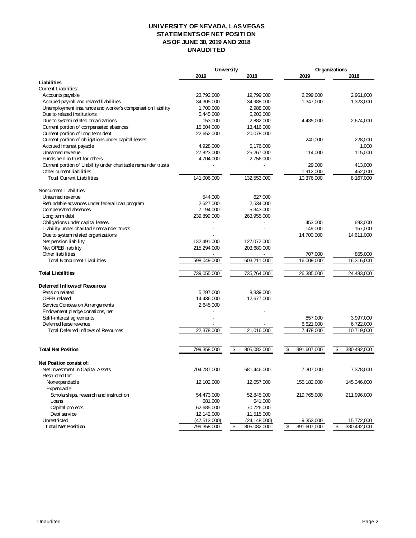## **UNIVERSITY OF NEVADA, LAS VEGAS STATEMENTS OF NET POSITION AS OF JUNE 30, 2019 AND 2018 UNAUDITED**

|                                                                | <b>University</b> |                   | Organizations     |                   |
|----------------------------------------------------------------|-------------------|-------------------|-------------------|-------------------|
|                                                                | 2019              | 2018              | 2019              | 2018              |
| Liabilities                                                    |                   |                   |                   |                   |
| Current Liabilities:                                           |                   |                   |                   |                   |
| Accounts payable                                               | 23,792,000        | 19,799,000        | 2,299,000         | 2,961,000         |
| Accrued payroll and related liabilities                        | 34,305,000        | 34,988,000        | 1,347,000         | 1,323,000         |
| Unemployment insurance and worker's compensation liability     | 1,700,000         | 2,988,000         |                   |                   |
| Due to related institutions                                    | 5,445,000         | 5,203,000         |                   |                   |
| Due to system related organizations                            | 153,000           | 2,882,000         | 4,435,000         | 2,674,000         |
| Current portion of compensated absences                        | 15,504,000        | 13,416,000        |                   |                   |
| Current portion of long term debt                              | 22,652,000        | 20,078,000        |                   |                   |
| Current portion of obligations under capital leases            |                   |                   | 240,000           | 228,000           |
| Accrued interest payable                                       | 4,928,000         | 5,176,000         |                   | 1,000             |
| Unearned revenue                                               | 27,823,000        | 25,267,000        | 114,000           | 115,000           |
| Funds held in trust for others                                 | 4,704,000         | 2,756,000         |                   |                   |
| Current portion of Liability under charitable remainder trusts |                   |                   | 29,000            | 413,000           |
| Other current liabilities                                      |                   |                   | 1,912,000         | 452,000           |
| <b>Total Current Liabilities</b>                               | 141,006,000       | 132,553,000       | 10,376,000        | 8,167,000         |
| Noncurrent Liabilities:                                        |                   |                   |                   |                   |
| Unearned revenue                                               | 544,000           | 627,000           |                   |                   |
| Refundable advances under federal loan program                 | 2,627,000         | 2,534,000         |                   |                   |
| Compensated absences                                           | 7,194,000         | 5,343,000         |                   |                   |
| Long term debt                                                 | 239,899,000       | 263,955,000       |                   |                   |
| Obligations under capital leases                               |                   |                   | 453,000           | 693,000           |
| Liability under charitable remainder trusts                    |                   |                   | 149,000           | 157,000           |
| Due to system related organizations                            |                   |                   | 14,700,000        | 14,611,000        |
| Net pension liability                                          | 132,491,000       | 127,072,000       |                   |                   |
| Net OPEB liability                                             | 215,294,000       | 203,680,000       |                   |                   |
| Other liabilities                                              |                   |                   | 707,000           | 855,000           |
| <b>Total Noncurrent Liabilities</b>                            | 598,049,000       | 603,211,000       | 16,009,000        | 16,316,000        |
| <b>Total Liabilities</b>                                       | 739,055,000       | 735,764,000       | 26,385,000        | 24,483,000        |
| Deferred Inflows of Resources                                  |                   |                   |                   |                   |
| Pension related                                                | 5,297,000         | 8,339,000         |                   |                   |
| OPEB related                                                   | 14,436,000        | 12,677,000        |                   |                   |
| Service Concession Arrangements                                | 2,645,000         |                   |                   |                   |
| Endowment pledge donations, net                                |                   |                   |                   |                   |
| Split-interest agreements                                      |                   |                   | 857,000           | 3,997,000         |
| Deferred lease revenue                                         |                   |                   | 6,621,000         | 6,722,000         |
| Total Deferred Inflows of Resources                            | 22,378,000        | 21,016,000        | 7,478,000         | 10,719,000        |
|                                                                |                   |                   |                   |                   |
| <b>Total Net Position</b>                                      | 799,358,000       | \$<br>805,082,000 | \$<br>391,607,000 | \$<br>380,492,000 |
| Net Position consist of:                                       |                   |                   |                   |                   |
| Net Investment in Capital Assets                               | 704,787,000       | 681,446,000       | 7,307,000         | 7,378,000         |
| Restricted for:                                                |                   |                   |                   |                   |
| Nonexpendable                                                  | 12,102,000        | 12,057,000        | 155, 182, 000     | 145,346,000       |
| Expendable                                                     |                   |                   |                   |                   |
| Scholarships, research and instruction                         | 54,473,000        | 52,845,000        | 219,765,000       | 211,996,000       |
| Loans                                                          | 681,000           | 641,000           |                   |                   |
| Capital projects                                               | 62,685,000        | 70,726,000        |                   |                   |
| Debt service                                                   | 12,142,000        | 11,515,000        |                   |                   |
| Unrestricted                                                   | (47, 512, 000)    | (24, 148, 000)    | 9,353,000         | 15,772,000        |
| <b>Total Net Position</b>                                      | 799,358,000       | \$<br>805,082,000 | \$<br>391,607,000 | \$<br>380,492,000 |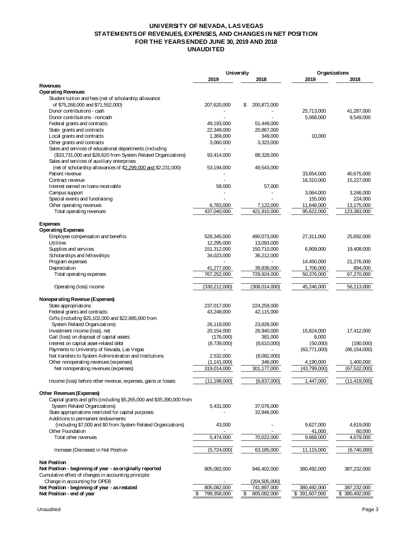#### **UNIVERSITY OF NEVADA, LAS VEGAS STATEMENTS OF REVENUES, EXPENSES, AND CHANGES IN NET POSITION FOR THE YEARS ENDED JUNE 30, 2019 AND 2018 UNAUDITED**

|                                                                                     | <b>University</b>        |                                | Organizations     |                |
|-------------------------------------------------------------------------------------|--------------------------|--------------------------------|-------------------|----------------|
|                                                                                     | 2019                     | 2018                           | 2019              | 2018           |
| <b>Revenues</b>                                                                     |                          |                                |                   |                |
| <b>Operating Revenues</b>                                                           |                          |                                |                   |                |
| Student tuition and fees (net of scholarship allowance                              |                          |                                |                   |                |
| of \$75,268,000 and \$71,552,000)                                                   | 207,620,000              | 200,872,000<br>\$              |                   |                |
| Donor contributions - cash                                                          |                          |                                | 25,713,000        | 41,287,000     |
| Donor contributions - noncash                                                       |                          |                                | 5,068,000         | 9,549,000      |
| Federal grants and contracts                                                        | 49,193,000               | 51,449,000                     |                   |                |
| State grants and contracts                                                          | 22,349,000               | 20,867,000                     |                   |                |
| Local grants and contracts<br>Other grants and contracts                            | 1,369,000<br>3,060,000   | 349,000<br>3,323,000           | 10,000            |                |
| Sales and services of educational departments (including                            |                          |                                |                   |                |
| (\$33,731,000 and \$28,620 from System Related Organizations)                       | 93,414,000               | 88,328,000                     |                   |                |
| Sales and services of auxiliary enterprises                                         |                          |                                |                   |                |
| (net of scholarship allowances of \$2,299,000 and \$2,231,000)                      | 53,194,000               | 49,543,000                     |                   |                |
| Patient revenue                                                                     |                          |                                | 33,654,000        | 40,675,000     |
| Contract revenue                                                                    |                          |                                | 16,310,000        | 15,227,000     |
| Interest earned on Ioans receivable                                                 | 58,000                   | 57,000                         |                   |                |
| Campus support                                                                      |                          |                                | 3,064,000         | 3,246,000      |
| Special events and fundraising                                                      |                          |                                | 155,000           | 224,000        |
| Other operating revenues                                                            | 6,783,000                | 7,122,000                      | 11,648,000        | 13,175,000     |
| Total operating revenues                                                            | 437,040,000              | 421,910,000                    | 95,622,000        | 123,383,000    |
|                                                                                     |                          |                                |                   |                |
| <b>Expenses</b>                                                                     |                          |                                |                   |                |
| <b>Operating Expenses</b>                                                           |                          |                                |                   |                |
| Employee compensation and benefits                                                  | 528,345,000              | 490,073,000                    | 27,311,000        | 25,692,000     |
| Utilities                                                                           | 12,295,000               | 13,093,000                     |                   |                |
| Supplies and services                                                               | 151,312,000              | 150,710,000                    | 6,909,000         | 19,408,000     |
| Scholarships and fellowships                                                        | 34,023,000               | 36,212,000                     |                   |                |
| Program expenses                                                                    |                          |                                | 14,450,000        | 21,276,000     |
| Depreciation                                                                        | 41,277,000               | 39,836,000                     | 1,706,000         | 894,000        |
| Total operating expenses                                                            | 767,252,000              | 729,924,000                    | 50,376,000        | 67,270,000     |
| Operating (loss) income                                                             | (330, 212, 000)          | (308,014,000)                  | 45,246,000        | 56,113,000     |
|                                                                                     |                          |                                |                   |                |
| Nonoperating Revenue (Expenses)                                                     |                          |                                |                   |                |
| State appropriations                                                                | 237,017,000              | 224,259,000                    |                   |                |
| Federal grants and contracts                                                        | 43,248,000               | 42,115,000                     |                   |                |
| Gifts (including \$25,102,000 and \$22,885,000 from                                 |                          |                                |                   |                |
| System Related Organizations)<br>Investment income (loss), net                      | 26,119,000               | 23,828,000                     |                   |                |
|                                                                                     | 20,154,000               | 26,940,000                     | 15,824,000        | 17,412,000     |
| Gail (loss) on disposal of capital assets<br>Interest on capital asset-related debt | (176,000)<br>(8,739,000) | 381,000<br>(8,610,000)         | 8,000<br>(50,000) | (190,000)      |
| Payments to University of Nevada, Las Vegas                                         |                          |                                | (63,771,000)      | (86, 154, 000) |
| Net transfers to System Administration and Institutions                             | 2,532,000                | (8,082,000)                    |                   |                |
| Other nonoperating revenues (expenses)                                              | (1, 141, 000)            | 346,000                        | 4,190,000         | 1,400,000      |
| Net nonoperating revenues (expenses)                                                | 319,014,000              | 301,177,000                    | (43,799,000)      | (67,532,000)   |
|                                                                                     |                          |                                |                   |                |
| Income (loss) before other revenue, expenses, gains or losses                       | (11, 198, 000)           | (6,837,000)                    | 1,447,000         | (11, 419, 000) |
| Other Revenues (Expenses)                                                           |                          |                                |                   |                |
| Capital grants and gifts (including \$5,265,000 and \$35,390,000 from               |                          |                                |                   |                |
| System Related Organizations)                                                       | 5,431,000                | 37,076,000                     |                   |                |
| State appropriations restricted for capital purposes                                |                          | 32,946,000                     |                   |                |
| Additions to permanent endowments                                                   |                          |                                |                   |                |
| (including \$7,000 and \$0 from System Related Organizations)                       | 43,000                   |                                | 9,627,000         | 4,619,000      |
| Other Foundation                                                                    |                          |                                | 41,000            | 60,000         |
| Total other revenues                                                                | 5,474,000                | 70,022,000                     | 9,668,000         | 4,679,000      |
| Increase (Decrease) in Net Position                                                 | (5,724,000)              | 63,185,000                     | 11,115,000        | (6,740,000)    |
|                                                                                     |                          |                                |                   |                |
| <b>Net Position</b>                                                                 |                          |                                |                   |                |
| Net Position - beginning of year - as originally reported                           | 805,082,000              | 946,402,000                    | 380,492,000       | 387,232,000    |
| Cumulative effect of changes in accounting principle:                               |                          |                                |                   |                |
| Change in accounting for OPEB<br>Net Position - beginning of year - as restated     | 805,082,000              | (204, 505, 000)<br>741,897,000 | 380,492,000       | 387,232,000    |
| Net Position - end of year                                                          | \$<br>799,358,000        | \$<br>805,082,000              | \$391,607,000     | \$380,492,000  |
|                                                                                     |                          |                                |                   |                |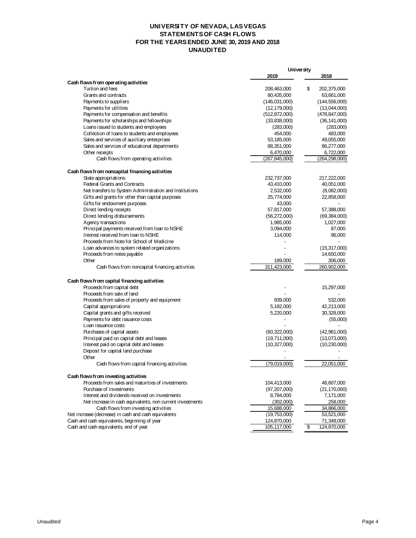## **UNIVERSITY OF NEVADA, LAS VEGAS STATEMENTS OF CASH FLOWS FOR THE YEARS ENDED JUNE 30, 2019 AND 2018 UNAUDITED**

| 2019<br>2018<br>Cash flows from operating activities<br>\$<br>Tuition and fees<br>208,463,000<br>202,375,000<br>Grants and contracts<br>80,435,000<br>63,661,000<br>(146,031,000)<br>(144, 556, 000)<br>Payments to suppliers<br>Payments for utilities<br>(12, 179, 000)<br>(13,044,000)<br>Payments for compensation and benefits<br>(512, 872, 000)<br>(478, 847, 000)<br>Payments for scholarships and fellowships<br>(33,838,000)<br>(36, 141, 000)<br>Loans issued to students and employees<br>(283,000)<br>(283,000)<br>Collection of loans to students and employees<br>454,000<br>483,000<br>Sales and services of auxiliary enterprises<br>49,055,000<br>53,185,000<br>Sales and services of educational departments<br>88,351,000<br>86,277,000<br>Other receipts<br>6,470,000<br>6,722,000<br>Cash flows from operating activities<br>(267, 845, 000)<br>(264, 298, 000)<br>Cash flows from noncapital financing activities<br>State appropriations<br>217,222,000<br>232,737,000<br><b>Federal Grants and Contracts</b><br>43,410,000<br>40,051,000<br>Net transfers to System Administration and Institutions<br>2,532,000<br>(8,082,000)<br>Gifts and grants for other than capital purposes<br>25,774,000<br>22,858,000<br>Gifts for endowment purposes<br>43,000<br>Direct lending receipts<br>57,817,000<br>57,388,000<br>Direct lending disbursements<br>(56, 272, 000)<br>(69, 384, 000)<br>Agency transactions<br>1,985,000<br>1,027,000<br>Principal payments received from loan to NSHE<br>3,094,000<br>87,000<br>Interest received from Ioan to NSHE<br>96,000<br>114,000<br>Proceeds from Note for School of Medicine<br>Loan advances to system related organizations<br>(15,317,000)<br>Proceeds from notes payable<br>14,650,000<br>Other<br>189,000<br>306,000<br>Cash flows from noncapital financing activities<br>311,423,000<br>260,902,000<br>Cash flows from capital financing activities<br>Proceeds from capital debt<br>15,297,000<br>Proceeds from sale of land<br>Proceeds from sales of property and equipment<br>939,000<br>532,000<br>Capital appropriations<br>5,182,000<br>42,213,000<br>Capital grants and gifts received<br>30,328,000<br>5,220,000<br>Payments for debt issuance costs<br>(55,000)<br>Loan issuance costs<br>Purchases of capital assets<br>(60, 322, 000)<br>(42,961,000)<br>Principal paid on capital debt and leases<br>(19,711,000)<br>(13,073,000)<br>Interest paid on capital debt and leases<br>(10,327,000)<br>(10, 230, 000)<br>Deposit for capital land purchase<br>Other<br>Cash flows from capital financing activities<br>22,051,000<br>(79,019,000)<br>Cash flows from investing activities<br>Proceeds from sales and maturities of investments<br>104,413,000<br>48,607,000<br>Purchase of investments<br>(97,207,000)<br>(21, 170, 000)<br>Interest and dividends received on investments<br>8,784,000<br>7,171,000<br>Net increase in cash equivalents, non current investments<br>258,000<br>(302,000)<br>Cash flows from investing activities<br>15,688,000<br>34,866,000<br>Net increase (decrease) in cash and cash equivalents<br>(19,753,000)<br>53,521,000<br>Cash and cash equivalents, beginning of year<br>124,870,000<br>71,349,000 |                                        | <b>University</b> |                   |  |
|-----------------------------------------------------------------------------------------------------------------------------------------------------------------------------------------------------------------------------------------------------------------------------------------------------------------------------------------------------------------------------------------------------------------------------------------------------------------------------------------------------------------------------------------------------------------------------------------------------------------------------------------------------------------------------------------------------------------------------------------------------------------------------------------------------------------------------------------------------------------------------------------------------------------------------------------------------------------------------------------------------------------------------------------------------------------------------------------------------------------------------------------------------------------------------------------------------------------------------------------------------------------------------------------------------------------------------------------------------------------------------------------------------------------------------------------------------------------------------------------------------------------------------------------------------------------------------------------------------------------------------------------------------------------------------------------------------------------------------------------------------------------------------------------------------------------------------------------------------------------------------------------------------------------------------------------------------------------------------------------------------------------------------------------------------------------------------------------------------------------------------------------------------------------------------------------------------------------------------------------------------------------------------------------------------------------------------------------------------------------------------------------------------------------------------------------------------------------------------------------------------------------------------------------------------------------------------------------------------------------------------------------------------------------------------------------------------------------------------------------------------------------------------------------------------------------------------------------------------------------------------------------------------------------------------------------------------------------------------------------------------------------------------------------------------------------------------------------------------------------------------------------------------------------------------------------------------------------------------------|----------------------------------------|-------------------|-------------------|--|
|                                                                                                                                                                                                                                                                                                                                                                                                                                                                                                                                                                                                                                                                                                                                                                                                                                                                                                                                                                                                                                                                                                                                                                                                                                                                                                                                                                                                                                                                                                                                                                                                                                                                                                                                                                                                                                                                                                                                                                                                                                                                                                                                                                                                                                                                                                                                                                                                                                                                                                                                                                                                                                                                                                                                                                                                                                                                                                                                                                                                                                                                                                                                                                                                                                   |                                        |                   |                   |  |
|                                                                                                                                                                                                                                                                                                                                                                                                                                                                                                                                                                                                                                                                                                                                                                                                                                                                                                                                                                                                                                                                                                                                                                                                                                                                                                                                                                                                                                                                                                                                                                                                                                                                                                                                                                                                                                                                                                                                                                                                                                                                                                                                                                                                                                                                                                                                                                                                                                                                                                                                                                                                                                                                                                                                                                                                                                                                                                                                                                                                                                                                                                                                                                                                                                   |                                        |                   |                   |  |
|                                                                                                                                                                                                                                                                                                                                                                                                                                                                                                                                                                                                                                                                                                                                                                                                                                                                                                                                                                                                                                                                                                                                                                                                                                                                                                                                                                                                                                                                                                                                                                                                                                                                                                                                                                                                                                                                                                                                                                                                                                                                                                                                                                                                                                                                                                                                                                                                                                                                                                                                                                                                                                                                                                                                                                                                                                                                                                                                                                                                                                                                                                                                                                                                                                   |                                        |                   |                   |  |
|                                                                                                                                                                                                                                                                                                                                                                                                                                                                                                                                                                                                                                                                                                                                                                                                                                                                                                                                                                                                                                                                                                                                                                                                                                                                                                                                                                                                                                                                                                                                                                                                                                                                                                                                                                                                                                                                                                                                                                                                                                                                                                                                                                                                                                                                                                                                                                                                                                                                                                                                                                                                                                                                                                                                                                                                                                                                                                                                                                                                                                                                                                                                                                                                                                   |                                        |                   |                   |  |
|                                                                                                                                                                                                                                                                                                                                                                                                                                                                                                                                                                                                                                                                                                                                                                                                                                                                                                                                                                                                                                                                                                                                                                                                                                                                                                                                                                                                                                                                                                                                                                                                                                                                                                                                                                                                                                                                                                                                                                                                                                                                                                                                                                                                                                                                                                                                                                                                                                                                                                                                                                                                                                                                                                                                                                                                                                                                                                                                                                                                                                                                                                                                                                                                                                   |                                        |                   |                   |  |
|                                                                                                                                                                                                                                                                                                                                                                                                                                                                                                                                                                                                                                                                                                                                                                                                                                                                                                                                                                                                                                                                                                                                                                                                                                                                                                                                                                                                                                                                                                                                                                                                                                                                                                                                                                                                                                                                                                                                                                                                                                                                                                                                                                                                                                                                                                                                                                                                                                                                                                                                                                                                                                                                                                                                                                                                                                                                                                                                                                                                                                                                                                                                                                                                                                   |                                        |                   |                   |  |
|                                                                                                                                                                                                                                                                                                                                                                                                                                                                                                                                                                                                                                                                                                                                                                                                                                                                                                                                                                                                                                                                                                                                                                                                                                                                                                                                                                                                                                                                                                                                                                                                                                                                                                                                                                                                                                                                                                                                                                                                                                                                                                                                                                                                                                                                                                                                                                                                                                                                                                                                                                                                                                                                                                                                                                                                                                                                                                                                                                                                                                                                                                                                                                                                                                   |                                        |                   |                   |  |
|                                                                                                                                                                                                                                                                                                                                                                                                                                                                                                                                                                                                                                                                                                                                                                                                                                                                                                                                                                                                                                                                                                                                                                                                                                                                                                                                                                                                                                                                                                                                                                                                                                                                                                                                                                                                                                                                                                                                                                                                                                                                                                                                                                                                                                                                                                                                                                                                                                                                                                                                                                                                                                                                                                                                                                                                                                                                                                                                                                                                                                                                                                                                                                                                                                   |                                        |                   |                   |  |
|                                                                                                                                                                                                                                                                                                                                                                                                                                                                                                                                                                                                                                                                                                                                                                                                                                                                                                                                                                                                                                                                                                                                                                                                                                                                                                                                                                                                                                                                                                                                                                                                                                                                                                                                                                                                                                                                                                                                                                                                                                                                                                                                                                                                                                                                                                                                                                                                                                                                                                                                                                                                                                                                                                                                                                                                                                                                                                                                                                                                                                                                                                                                                                                                                                   |                                        |                   |                   |  |
|                                                                                                                                                                                                                                                                                                                                                                                                                                                                                                                                                                                                                                                                                                                                                                                                                                                                                                                                                                                                                                                                                                                                                                                                                                                                                                                                                                                                                                                                                                                                                                                                                                                                                                                                                                                                                                                                                                                                                                                                                                                                                                                                                                                                                                                                                                                                                                                                                                                                                                                                                                                                                                                                                                                                                                                                                                                                                                                                                                                                                                                                                                                                                                                                                                   |                                        |                   |                   |  |
|                                                                                                                                                                                                                                                                                                                                                                                                                                                                                                                                                                                                                                                                                                                                                                                                                                                                                                                                                                                                                                                                                                                                                                                                                                                                                                                                                                                                                                                                                                                                                                                                                                                                                                                                                                                                                                                                                                                                                                                                                                                                                                                                                                                                                                                                                                                                                                                                                                                                                                                                                                                                                                                                                                                                                                                                                                                                                                                                                                                                                                                                                                                                                                                                                                   |                                        |                   |                   |  |
|                                                                                                                                                                                                                                                                                                                                                                                                                                                                                                                                                                                                                                                                                                                                                                                                                                                                                                                                                                                                                                                                                                                                                                                                                                                                                                                                                                                                                                                                                                                                                                                                                                                                                                                                                                                                                                                                                                                                                                                                                                                                                                                                                                                                                                                                                                                                                                                                                                                                                                                                                                                                                                                                                                                                                                                                                                                                                                                                                                                                                                                                                                                                                                                                                                   |                                        |                   |                   |  |
|                                                                                                                                                                                                                                                                                                                                                                                                                                                                                                                                                                                                                                                                                                                                                                                                                                                                                                                                                                                                                                                                                                                                                                                                                                                                                                                                                                                                                                                                                                                                                                                                                                                                                                                                                                                                                                                                                                                                                                                                                                                                                                                                                                                                                                                                                                                                                                                                                                                                                                                                                                                                                                                                                                                                                                                                                                                                                                                                                                                                                                                                                                                                                                                                                                   |                                        |                   |                   |  |
|                                                                                                                                                                                                                                                                                                                                                                                                                                                                                                                                                                                                                                                                                                                                                                                                                                                                                                                                                                                                                                                                                                                                                                                                                                                                                                                                                                                                                                                                                                                                                                                                                                                                                                                                                                                                                                                                                                                                                                                                                                                                                                                                                                                                                                                                                                                                                                                                                                                                                                                                                                                                                                                                                                                                                                                                                                                                                                                                                                                                                                                                                                                                                                                                                                   |                                        |                   |                   |  |
|                                                                                                                                                                                                                                                                                                                                                                                                                                                                                                                                                                                                                                                                                                                                                                                                                                                                                                                                                                                                                                                                                                                                                                                                                                                                                                                                                                                                                                                                                                                                                                                                                                                                                                                                                                                                                                                                                                                                                                                                                                                                                                                                                                                                                                                                                                                                                                                                                                                                                                                                                                                                                                                                                                                                                                                                                                                                                                                                                                                                                                                                                                                                                                                                                                   |                                        |                   |                   |  |
|                                                                                                                                                                                                                                                                                                                                                                                                                                                                                                                                                                                                                                                                                                                                                                                                                                                                                                                                                                                                                                                                                                                                                                                                                                                                                                                                                                                                                                                                                                                                                                                                                                                                                                                                                                                                                                                                                                                                                                                                                                                                                                                                                                                                                                                                                                                                                                                                                                                                                                                                                                                                                                                                                                                                                                                                                                                                                                                                                                                                                                                                                                                                                                                                                                   |                                        |                   |                   |  |
|                                                                                                                                                                                                                                                                                                                                                                                                                                                                                                                                                                                                                                                                                                                                                                                                                                                                                                                                                                                                                                                                                                                                                                                                                                                                                                                                                                                                                                                                                                                                                                                                                                                                                                                                                                                                                                                                                                                                                                                                                                                                                                                                                                                                                                                                                                                                                                                                                                                                                                                                                                                                                                                                                                                                                                                                                                                                                                                                                                                                                                                                                                                                                                                                                                   |                                        |                   |                   |  |
|                                                                                                                                                                                                                                                                                                                                                                                                                                                                                                                                                                                                                                                                                                                                                                                                                                                                                                                                                                                                                                                                                                                                                                                                                                                                                                                                                                                                                                                                                                                                                                                                                                                                                                                                                                                                                                                                                                                                                                                                                                                                                                                                                                                                                                                                                                                                                                                                                                                                                                                                                                                                                                                                                                                                                                                                                                                                                                                                                                                                                                                                                                                                                                                                                                   |                                        |                   |                   |  |
|                                                                                                                                                                                                                                                                                                                                                                                                                                                                                                                                                                                                                                                                                                                                                                                                                                                                                                                                                                                                                                                                                                                                                                                                                                                                                                                                                                                                                                                                                                                                                                                                                                                                                                                                                                                                                                                                                                                                                                                                                                                                                                                                                                                                                                                                                                                                                                                                                                                                                                                                                                                                                                                                                                                                                                                                                                                                                                                                                                                                                                                                                                                                                                                                                                   |                                        |                   |                   |  |
|                                                                                                                                                                                                                                                                                                                                                                                                                                                                                                                                                                                                                                                                                                                                                                                                                                                                                                                                                                                                                                                                                                                                                                                                                                                                                                                                                                                                                                                                                                                                                                                                                                                                                                                                                                                                                                                                                                                                                                                                                                                                                                                                                                                                                                                                                                                                                                                                                                                                                                                                                                                                                                                                                                                                                                                                                                                                                                                                                                                                                                                                                                                                                                                                                                   |                                        |                   |                   |  |
|                                                                                                                                                                                                                                                                                                                                                                                                                                                                                                                                                                                                                                                                                                                                                                                                                                                                                                                                                                                                                                                                                                                                                                                                                                                                                                                                                                                                                                                                                                                                                                                                                                                                                                                                                                                                                                                                                                                                                                                                                                                                                                                                                                                                                                                                                                                                                                                                                                                                                                                                                                                                                                                                                                                                                                                                                                                                                                                                                                                                                                                                                                                                                                                                                                   |                                        |                   |                   |  |
|                                                                                                                                                                                                                                                                                                                                                                                                                                                                                                                                                                                                                                                                                                                                                                                                                                                                                                                                                                                                                                                                                                                                                                                                                                                                                                                                                                                                                                                                                                                                                                                                                                                                                                                                                                                                                                                                                                                                                                                                                                                                                                                                                                                                                                                                                                                                                                                                                                                                                                                                                                                                                                                                                                                                                                                                                                                                                                                                                                                                                                                                                                                                                                                                                                   |                                        |                   |                   |  |
|                                                                                                                                                                                                                                                                                                                                                                                                                                                                                                                                                                                                                                                                                                                                                                                                                                                                                                                                                                                                                                                                                                                                                                                                                                                                                                                                                                                                                                                                                                                                                                                                                                                                                                                                                                                                                                                                                                                                                                                                                                                                                                                                                                                                                                                                                                                                                                                                                                                                                                                                                                                                                                                                                                                                                                                                                                                                                                                                                                                                                                                                                                                                                                                                                                   |                                        |                   |                   |  |
|                                                                                                                                                                                                                                                                                                                                                                                                                                                                                                                                                                                                                                                                                                                                                                                                                                                                                                                                                                                                                                                                                                                                                                                                                                                                                                                                                                                                                                                                                                                                                                                                                                                                                                                                                                                                                                                                                                                                                                                                                                                                                                                                                                                                                                                                                                                                                                                                                                                                                                                                                                                                                                                                                                                                                                                                                                                                                                                                                                                                                                                                                                                                                                                                                                   |                                        |                   |                   |  |
|                                                                                                                                                                                                                                                                                                                                                                                                                                                                                                                                                                                                                                                                                                                                                                                                                                                                                                                                                                                                                                                                                                                                                                                                                                                                                                                                                                                                                                                                                                                                                                                                                                                                                                                                                                                                                                                                                                                                                                                                                                                                                                                                                                                                                                                                                                                                                                                                                                                                                                                                                                                                                                                                                                                                                                                                                                                                                                                                                                                                                                                                                                                                                                                                                                   |                                        |                   |                   |  |
|                                                                                                                                                                                                                                                                                                                                                                                                                                                                                                                                                                                                                                                                                                                                                                                                                                                                                                                                                                                                                                                                                                                                                                                                                                                                                                                                                                                                                                                                                                                                                                                                                                                                                                                                                                                                                                                                                                                                                                                                                                                                                                                                                                                                                                                                                                                                                                                                                                                                                                                                                                                                                                                                                                                                                                                                                                                                                                                                                                                                                                                                                                                                                                                                                                   |                                        |                   |                   |  |
|                                                                                                                                                                                                                                                                                                                                                                                                                                                                                                                                                                                                                                                                                                                                                                                                                                                                                                                                                                                                                                                                                                                                                                                                                                                                                                                                                                                                                                                                                                                                                                                                                                                                                                                                                                                                                                                                                                                                                                                                                                                                                                                                                                                                                                                                                                                                                                                                                                                                                                                                                                                                                                                                                                                                                                                                                                                                                                                                                                                                                                                                                                                                                                                                                                   |                                        |                   |                   |  |
|                                                                                                                                                                                                                                                                                                                                                                                                                                                                                                                                                                                                                                                                                                                                                                                                                                                                                                                                                                                                                                                                                                                                                                                                                                                                                                                                                                                                                                                                                                                                                                                                                                                                                                                                                                                                                                                                                                                                                                                                                                                                                                                                                                                                                                                                                                                                                                                                                                                                                                                                                                                                                                                                                                                                                                                                                                                                                                                                                                                                                                                                                                                                                                                                                                   |                                        |                   |                   |  |
|                                                                                                                                                                                                                                                                                                                                                                                                                                                                                                                                                                                                                                                                                                                                                                                                                                                                                                                                                                                                                                                                                                                                                                                                                                                                                                                                                                                                                                                                                                                                                                                                                                                                                                                                                                                                                                                                                                                                                                                                                                                                                                                                                                                                                                                                                                                                                                                                                                                                                                                                                                                                                                                                                                                                                                                                                                                                                                                                                                                                                                                                                                                                                                                                                                   |                                        |                   |                   |  |
|                                                                                                                                                                                                                                                                                                                                                                                                                                                                                                                                                                                                                                                                                                                                                                                                                                                                                                                                                                                                                                                                                                                                                                                                                                                                                                                                                                                                                                                                                                                                                                                                                                                                                                                                                                                                                                                                                                                                                                                                                                                                                                                                                                                                                                                                                                                                                                                                                                                                                                                                                                                                                                                                                                                                                                                                                                                                                                                                                                                                                                                                                                                                                                                                                                   |                                        |                   |                   |  |
|                                                                                                                                                                                                                                                                                                                                                                                                                                                                                                                                                                                                                                                                                                                                                                                                                                                                                                                                                                                                                                                                                                                                                                                                                                                                                                                                                                                                                                                                                                                                                                                                                                                                                                                                                                                                                                                                                                                                                                                                                                                                                                                                                                                                                                                                                                                                                                                                                                                                                                                                                                                                                                                                                                                                                                                                                                                                                                                                                                                                                                                                                                                                                                                                                                   |                                        |                   |                   |  |
|                                                                                                                                                                                                                                                                                                                                                                                                                                                                                                                                                                                                                                                                                                                                                                                                                                                                                                                                                                                                                                                                                                                                                                                                                                                                                                                                                                                                                                                                                                                                                                                                                                                                                                                                                                                                                                                                                                                                                                                                                                                                                                                                                                                                                                                                                                                                                                                                                                                                                                                                                                                                                                                                                                                                                                                                                                                                                                                                                                                                                                                                                                                                                                                                                                   |                                        |                   |                   |  |
|                                                                                                                                                                                                                                                                                                                                                                                                                                                                                                                                                                                                                                                                                                                                                                                                                                                                                                                                                                                                                                                                                                                                                                                                                                                                                                                                                                                                                                                                                                                                                                                                                                                                                                                                                                                                                                                                                                                                                                                                                                                                                                                                                                                                                                                                                                                                                                                                                                                                                                                                                                                                                                                                                                                                                                                                                                                                                                                                                                                                                                                                                                                                                                                                                                   |                                        |                   |                   |  |
|                                                                                                                                                                                                                                                                                                                                                                                                                                                                                                                                                                                                                                                                                                                                                                                                                                                                                                                                                                                                                                                                                                                                                                                                                                                                                                                                                                                                                                                                                                                                                                                                                                                                                                                                                                                                                                                                                                                                                                                                                                                                                                                                                                                                                                                                                                                                                                                                                                                                                                                                                                                                                                                                                                                                                                                                                                                                                                                                                                                                                                                                                                                                                                                                                                   |                                        |                   |                   |  |
|                                                                                                                                                                                                                                                                                                                                                                                                                                                                                                                                                                                                                                                                                                                                                                                                                                                                                                                                                                                                                                                                                                                                                                                                                                                                                                                                                                                                                                                                                                                                                                                                                                                                                                                                                                                                                                                                                                                                                                                                                                                                                                                                                                                                                                                                                                                                                                                                                                                                                                                                                                                                                                                                                                                                                                                                                                                                                                                                                                                                                                                                                                                                                                                                                                   |                                        |                   |                   |  |
|                                                                                                                                                                                                                                                                                                                                                                                                                                                                                                                                                                                                                                                                                                                                                                                                                                                                                                                                                                                                                                                                                                                                                                                                                                                                                                                                                                                                                                                                                                                                                                                                                                                                                                                                                                                                                                                                                                                                                                                                                                                                                                                                                                                                                                                                                                                                                                                                                                                                                                                                                                                                                                                                                                                                                                                                                                                                                                                                                                                                                                                                                                                                                                                                                                   |                                        |                   |                   |  |
|                                                                                                                                                                                                                                                                                                                                                                                                                                                                                                                                                                                                                                                                                                                                                                                                                                                                                                                                                                                                                                                                                                                                                                                                                                                                                                                                                                                                                                                                                                                                                                                                                                                                                                                                                                                                                                                                                                                                                                                                                                                                                                                                                                                                                                                                                                                                                                                                                                                                                                                                                                                                                                                                                                                                                                                                                                                                                                                                                                                                                                                                                                                                                                                                                                   |                                        |                   |                   |  |
|                                                                                                                                                                                                                                                                                                                                                                                                                                                                                                                                                                                                                                                                                                                                                                                                                                                                                                                                                                                                                                                                                                                                                                                                                                                                                                                                                                                                                                                                                                                                                                                                                                                                                                                                                                                                                                                                                                                                                                                                                                                                                                                                                                                                                                                                                                                                                                                                                                                                                                                                                                                                                                                                                                                                                                                                                                                                                                                                                                                                                                                                                                                                                                                                                                   |                                        |                   |                   |  |
|                                                                                                                                                                                                                                                                                                                                                                                                                                                                                                                                                                                                                                                                                                                                                                                                                                                                                                                                                                                                                                                                                                                                                                                                                                                                                                                                                                                                                                                                                                                                                                                                                                                                                                                                                                                                                                                                                                                                                                                                                                                                                                                                                                                                                                                                                                                                                                                                                                                                                                                                                                                                                                                                                                                                                                                                                                                                                                                                                                                                                                                                                                                                                                                                                                   |                                        |                   |                   |  |
|                                                                                                                                                                                                                                                                                                                                                                                                                                                                                                                                                                                                                                                                                                                                                                                                                                                                                                                                                                                                                                                                                                                                                                                                                                                                                                                                                                                                                                                                                                                                                                                                                                                                                                                                                                                                                                                                                                                                                                                                                                                                                                                                                                                                                                                                                                                                                                                                                                                                                                                                                                                                                                                                                                                                                                                                                                                                                                                                                                                                                                                                                                                                                                                                                                   |                                        |                   |                   |  |
|                                                                                                                                                                                                                                                                                                                                                                                                                                                                                                                                                                                                                                                                                                                                                                                                                                                                                                                                                                                                                                                                                                                                                                                                                                                                                                                                                                                                                                                                                                                                                                                                                                                                                                                                                                                                                                                                                                                                                                                                                                                                                                                                                                                                                                                                                                                                                                                                                                                                                                                                                                                                                                                                                                                                                                                                                                                                                                                                                                                                                                                                                                                                                                                                                                   |                                        |                   |                   |  |
|                                                                                                                                                                                                                                                                                                                                                                                                                                                                                                                                                                                                                                                                                                                                                                                                                                                                                                                                                                                                                                                                                                                                                                                                                                                                                                                                                                                                                                                                                                                                                                                                                                                                                                                                                                                                                                                                                                                                                                                                                                                                                                                                                                                                                                                                                                                                                                                                                                                                                                                                                                                                                                                                                                                                                                                                                                                                                                                                                                                                                                                                                                                                                                                                                                   |                                        |                   |                   |  |
|                                                                                                                                                                                                                                                                                                                                                                                                                                                                                                                                                                                                                                                                                                                                                                                                                                                                                                                                                                                                                                                                                                                                                                                                                                                                                                                                                                                                                                                                                                                                                                                                                                                                                                                                                                                                                                                                                                                                                                                                                                                                                                                                                                                                                                                                                                                                                                                                                                                                                                                                                                                                                                                                                                                                                                                                                                                                                                                                                                                                                                                                                                                                                                                                                                   |                                        |                   |                   |  |
|                                                                                                                                                                                                                                                                                                                                                                                                                                                                                                                                                                                                                                                                                                                                                                                                                                                                                                                                                                                                                                                                                                                                                                                                                                                                                                                                                                                                                                                                                                                                                                                                                                                                                                                                                                                                                                                                                                                                                                                                                                                                                                                                                                                                                                                                                                                                                                                                                                                                                                                                                                                                                                                                                                                                                                                                                                                                                                                                                                                                                                                                                                                                                                                                                                   |                                        |                   |                   |  |
|                                                                                                                                                                                                                                                                                                                                                                                                                                                                                                                                                                                                                                                                                                                                                                                                                                                                                                                                                                                                                                                                                                                                                                                                                                                                                                                                                                                                                                                                                                                                                                                                                                                                                                                                                                                                                                                                                                                                                                                                                                                                                                                                                                                                                                                                                                                                                                                                                                                                                                                                                                                                                                                                                                                                                                                                                                                                                                                                                                                                                                                                                                                                                                                                                                   |                                        |                   |                   |  |
|                                                                                                                                                                                                                                                                                                                                                                                                                                                                                                                                                                                                                                                                                                                                                                                                                                                                                                                                                                                                                                                                                                                                                                                                                                                                                                                                                                                                                                                                                                                                                                                                                                                                                                                                                                                                                                                                                                                                                                                                                                                                                                                                                                                                                                                                                                                                                                                                                                                                                                                                                                                                                                                                                                                                                                                                                                                                                                                                                                                                                                                                                                                                                                                                                                   |                                        |                   |                   |  |
|                                                                                                                                                                                                                                                                                                                                                                                                                                                                                                                                                                                                                                                                                                                                                                                                                                                                                                                                                                                                                                                                                                                                                                                                                                                                                                                                                                                                                                                                                                                                                                                                                                                                                                                                                                                                                                                                                                                                                                                                                                                                                                                                                                                                                                                                                                                                                                                                                                                                                                                                                                                                                                                                                                                                                                                                                                                                                                                                                                                                                                                                                                                                                                                                                                   |                                        |                   |                   |  |
|                                                                                                                                                                                                                                                                                                                                                                                                                                                                                                                                                                                                                                                                                                                                                                                                                                                                                                                                                                                                                                                                                                                                                                                                                                                                                                                                                                                                                                                                                                                                                                                                                                                                                                                                                                                                                                                                                                                                                                                                                                                                                                                                                                                                                                                                                                                                                                                                                                                                                                                                                                                                                                                                                                                                                                                                                                                                                                                                                                                                                                                                                                                                                                                                                                   |                                        |                   |                   |  |
|                                                                                                                                                                                                                                                                                                                                                                                                                                                                                                                                                                                                                                                                                                                                                                                                                                                                                                                                                                                                                                                                                                                                                                                                                                                                                                                                                                                                                                                                                                                                                                                                                                                                                                                                                                                                                                                                                                                                                                                                                                                                                                                                                                                                                                                                                                                                                                                                                                                                                                                                                                                                                                                                                                                                                                                                                                                                                                                                                                                                                                                                                                                                                                                                                                   |                                        |                   |                   |  |
|                                                                                                                                                                                                                                                                                                                                                                                                                                                                                                                                                                                                                                                                                                                                                                                                                                                                                                                                                                                                                                                                                                                                                                                                                                                                                                                                                                                                                                                                                                                                                                                                                                                                                                                                                                                                                                                                                                                                                                                                                                                                                                                                                                                                                                                                                                                                                                                                                                                                                                                                                                                                                                                                                                                                                                                                                                                                                                                                                                                                                                                                                                                                                                                                                                   |                                        |                   |                   |  |
|                                                                                                                                                                                                                                                                                                                                                                                                                                                                                                                                                                                                                                                                                                                                                                                                                                                                                                                                                                                                                                                                                                                                                                                                                                                                                                                                                                                                                                                                                                                                                                                                                                                                                                                                                                                                                                                                                                                                                                                                                                                                                                                                                                                                                                                                                                                                                                                                                                                                                                                                                                                                                                                                                                                                                                                                                                                                                                                                                                                                                                                                                                                                                                                                                                   |                                        |                   |                   |  |
|                                                                                                                                                                                                                                                                                                                                                                                                                                                                                                                                                                                                                                                                                                                                                                                                                                                                                                                                                                                                                                                                                                                                                                                                                                                                                                                                                                                                                                                                                                                                                                                                                                                                                                                                                                                                                                                                                                                                                                                                                                                                                                                                                                                                                                                                                                                                                                                                                                                                                                                                                                                                                                                                                                                                                                                                                                                                                                                                                                                                                                                                                                                                                                                                                                   |                                        |                   |                   |  |
|                                                                                                                                                                                                                                                                                                                                                                                                                                                                                                                                                                                                                                                                                                                                                                                                                                                                                                                                                                                                                                                                                                                                                                                                                                                                                                                                                                                                                                                                                                                                                                                                                                                                                                                                                                                                                                                                                                                                                                                                                                                                                                                                                                                                                                                                                                                                                                                                                                                                                                                                                                                                                                                                                                                                                                                                                                                                                                                                                                                                                                                                                                                                                                                                                                   | Cash and cash equivalents, end of year | 105,117,000       | \$<br>124,870,000 |  |